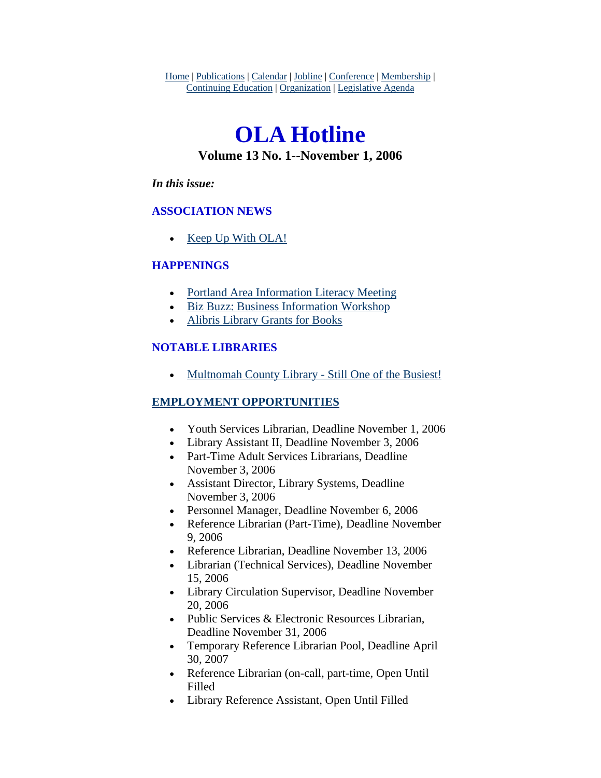Home | Publications | Calendar | Jobline | Conference | Membership | Continuing Education | Organization | Legislative Agenda

# **OLA Hotline Volume 13 No. 1--November 1, 2006**

#### *In this issue:*

### **ASSOCIATION NEWS**

• [Keep Up With OLA!](#page-1-0)

### **HAPPENINGS**

- [Portland Area Information Literacy Meeting](#page-1-0)
- [Biz Buzz: Business Information Workshop](#page-2-0)
- [Alibris Library Grants for Books](#page-3-0)

### **NOTABLE LIBRARIES**

• [Multnomah County Library - Still One of the Busiest!](#page-4-0)

### **EMPLOYMENT OPPORTUNITIES**

- Youth Services Librarian, Deadline November 1, 2006
- Library Assistant II, Deadline November 3, 2006
- Part-Time Adult Services Librarians, Deadline November 3, 2006
- Assistant Director, Library Systems, Deadline November 3, 2006
- Personnel Manager, Deadline November 6, 2006
- Reference Librarian (Part-Time), Deadline November 9, 2006
- Reference Librarian, Deadline November 13, 2006
- Librarian (Technical Services), Deadline November 15, 2006
- Library Circulation Supervisor, Deadline November 20, 2006
- Public Services & Electronic Resources Librarian, Deadline November 31, 2006
- Temporary Reference Librarian Pool, Deadline April 30, 2007
- Reference Librarian (on-call, part-time, Open Until Filled
- Library Reference Assistant, Open Until Filled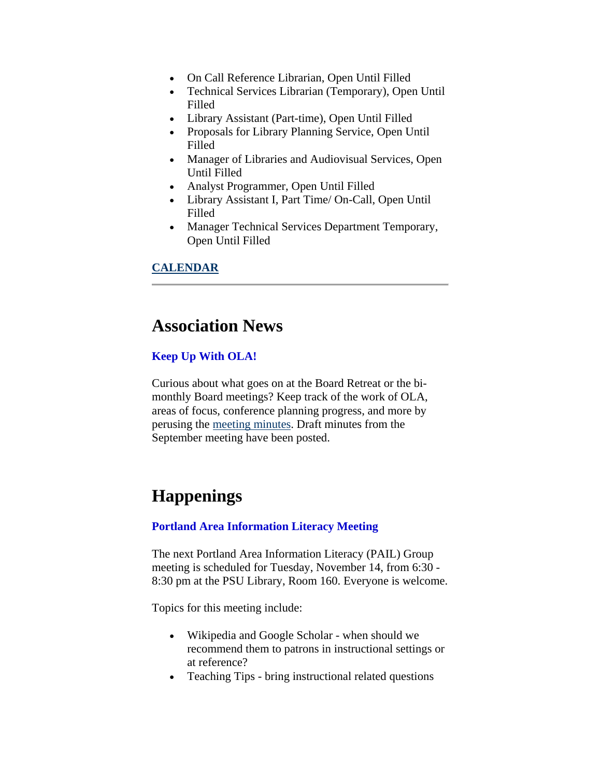- <span id="page-1-0"></span>• On Call Reference Librarian, Open Until Filled
- Technical Services Librarian (Temporary), Open Until Filled
- Library Assistant (Part-time), Open Until Filled
- Proposals for Library Planning Service, Open Until Filled
- Manager of Libraries and Audiovisual Services, Open Until Filled
- Analyst Programmer, Open Until Filled
- Library Assistant I, Part Time/ On-Call, Open Until Filled
- Manager Technical Services Department Temporary, Open Until Filled

### **CALENDAR**

### **Association News**

### **Keep Up With OLA!**

Curious about what goes on at the Board Retreat or the bimonthly Board meetings? Keep track of the work of OLA, areas of focus, conference planning progress, and more by perusing the [meeting minutes](http://www.olaweb.org/minutes/). Draft minutes from the September meeting have been posted.

## **Happenings**

### **Portland Area Information Literacy Meeting**

The next Portland Area Information Literacy (PAIL) Group meeting is scheduled for Tuesday, November 14, from 6:30 - 8:30 pm at the PSU Library, Room 160. Everyone is welcome.

Topics for this meeting include:

- Wikipedia and Google Scholar when should we recommend them to patrons in instructional settings or at reference?
- Teaching Tips bring instructional related questions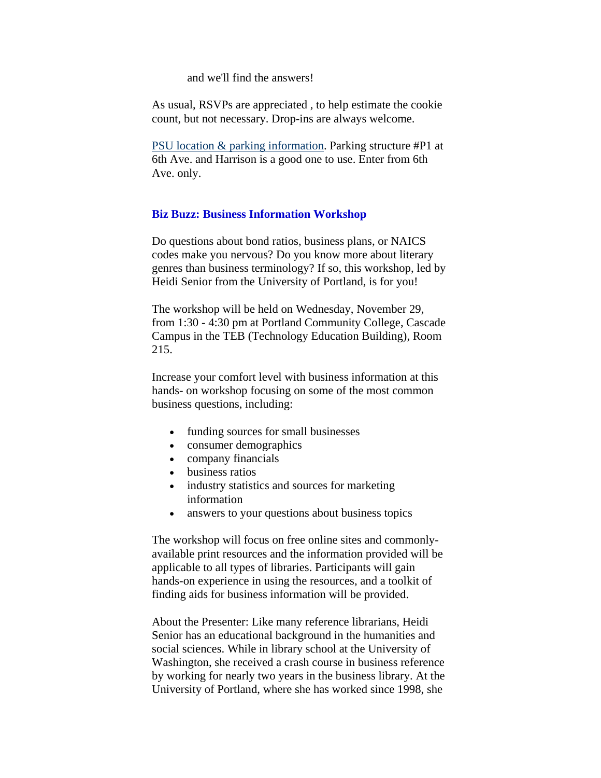and we'll find the answers!

<span id="page-2-0"></span>As usual, RSVPs are appreciated , to help estimate the cookie count, but not necessary. Drop-ins are always welcome.

[PSU location & parking information](http://www.pdx.edu/media/c/a/campusmap_bw.pdf). Parking structure #P1 at 6th Ave. and Harrison is a good one to use. Enter from 6th Ave. only.

#### **Biz Buzz: Business Information Workshop**

Do questions about bond ratios, business plans, or NAICS codes make you nervous? Do you know more about literary genres than business terminology? If so, this workshop, led by Heidi Senior from the University of Portland, is for you!

The workshop will be held on Wednesday, November 29, from 1:30 - 4:30 pm at Portland Community College, Cascade Campus in the TEB (Technology Education Building), Room 215.

Increase your comfort level with business information at this hands- on workshop focusing on some of the most common business questions, including:

- funding sources for small businesses
- consumer demographics
- company financials
- business ratios
- industry statistics and sources for marketing information
- answers to your questions about business topics

The workshop will focus on free online sites and commonlyavailable print resources and the information provided will be applicable to all types of libraries. Participants will gain hands-on experience in using the resources, and a toolkit of finding aids for business information will be provided.

About the Presenter: Like many reference librarians, Heidi Senior has an educational background in the humanities and social sciences. While in library school at the University of Washington, she received a crash course in business reference by working for nearly two years in the business library. At the University of Portland, where she has worked since 1998, she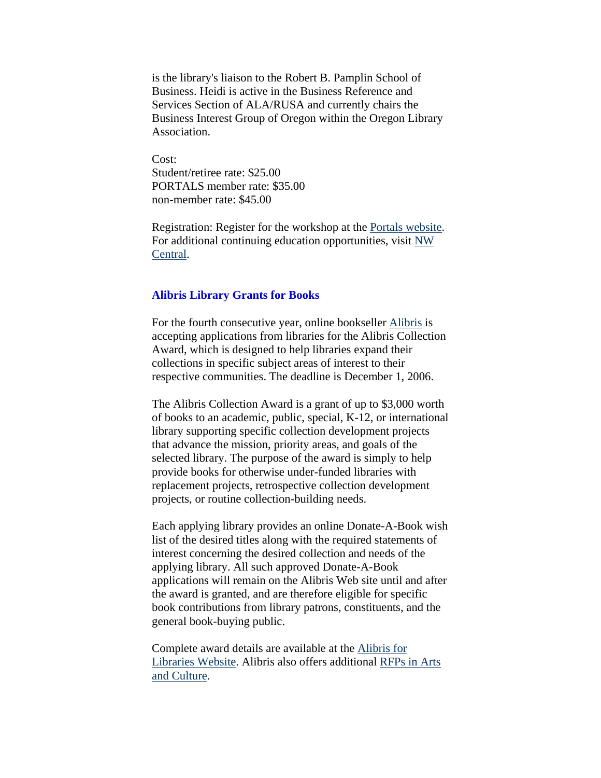<span id="page-3-0"></span>is the library's liaison to the Robert B. Pamplin School of Business. Heidi is active in the Business Reference and Services Section of ALA/RUSA and currently chairs the Business Interest Group of Oregon within the Oregon Library Association.

Cost: Student/retiree rate: \$25.00 PORTALS member rate: \$35.00 non-member rate: \$45.00

Registration: Register for the workshop at the [Portals website](http://www.portals.org/). For additional continuing education opportunities, visit [NW](http://www.nwcentral.org/)  [Central](http://www.nwcentral.org/).

#### **Alibris Library Grants for Books**

For the fourth consecutive year, online bookseller [Alibris](http://www.alibris.com/libris) is accepting applications from libraries for the Alibris Collection Award, which is designed to help libraries expand their collections in specific subject areas of interest to their respective communities. The deadline is December 1, 2006.

The Alibris Collection Award is a grant of up to \$3,000 worth of books to an academic, public, special, K-12, or international library supporting specific collection development projects that advance the mission, priority areas, and goals of the selected library. The purpose of the award is simply to help provide books for otherwise under-funded libraries with replacement projects, retrospective collection development projects, or routine collection-building needs.

Each applying library provides an online Donate-A-Book wish list of the desired titles along with the required statements of interest concerning the desired collection and needs of the applying library. All such approved Donate-A-Book applications will remain on the Alibris Web site until and after the award is granted, and are therefore eligible for specific book contributions from library patrons, constituents, and the general book-buying public.

Complete award details are available at the [Alibris for](http://fconline.fdncenter.org/pnd/10004998/alibris)  [Libraries Website.](http://fconline.fdncenter.org/pnd/10004998/alibris) Alibris also offers additional [RFPs in Arts](http://foundationcenter.org/pnd/rfp/cat_arts.jhtml)  [and Culture](http://foundationcenter.org/pnd/rfp/cat_arts.jhtml).